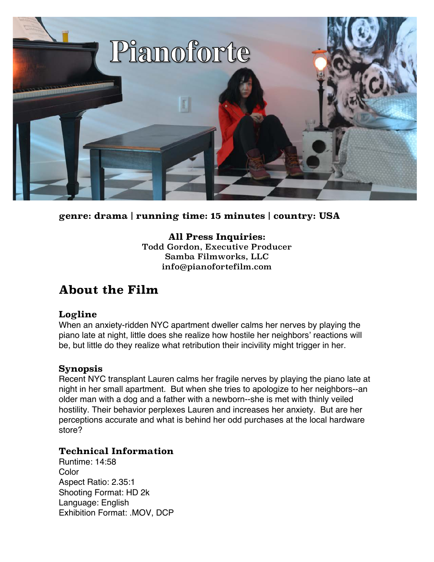

**genre: drama | running time: 15 minutes | country: USA**

**All Press Inquiries:** Todd Gordon, Executive Producer Samba Filmworks, LLC info@pianofortefilm.com

#### **About the Film**

#### **Logline**

When an anxiety-ridden NYC apartment dweller calms her nerves by playing the piano late at night, little does she realize how hostile her neighbors' reactions will be, but little do they realize what retribution their incivility might trigger in her.

#### **Synopsis**

Recent NYC transplant Lauren calms her fragile nerves by playing the piano late at night in her small apartment. But when she tries to apologize to her neighbors--an older man with a dog and a father with a newborn--she is met with thinly veiled hostility. Their behavior perplexes Lauren and increases her anxiety. But are her perceptions accurate and what is behind her odd purchases at the local hardware store?

#### **Technical Information**

Runtime: 14:58 Color Aspect Ratio: 2.35:1 Shooting Format: HD 2k Language: English Exhibition Format: .MOV, DCP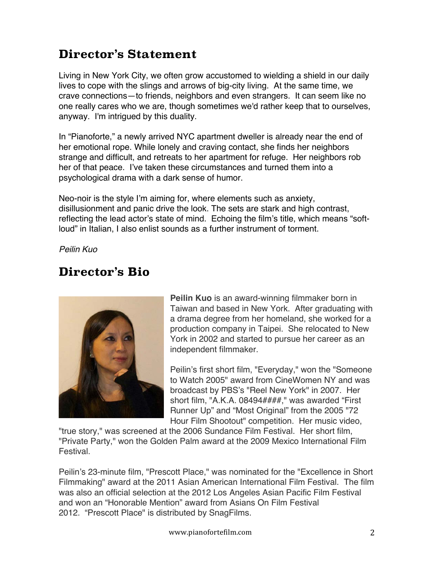# **Director's Statement**

Living in New York City, we often grow accustomed to wielding a shield in our daily lives to cope with the slings and arrows of big-city living. At the same time, we crave connections—to friends, neighbors and even strangers. It can seem like no one really cares who we are, though sometimes we'd rather keep that to ourselves, anyway. I'm intrigued by this duality.

In "Pianoforte," a newly arrived NYC apartment dweller is already near the end of her emotional rope. While lonely and craving contact, she finds her neighbors strange and difficult, and retreats to her apartment for refuge. Her neighbors rob her of that peace. I've taken these circumstances and turned them into a psychological drama with a dark sense of humor.

Neo-noir is the style I'm aiming for, where elements such as anxiety, disillusionment and panic drive the look. The sets are stark and high contrast, reflecting the lead actor's state of mind. Echoing the film's title, which means "softloud" in Italian, I also enlist sounds as a further instrument of torment.

*Peilin Kuo*

#### **Director's Bio**



**Peilin Kuo** is an award-winning filmmaker born in Taiwan and based in New York. After graduating with a drama degree from her homeland, she worked for a production company in Taipei. She relocated to New York in 2002 and started to pursue her career as an independent filmmaker.

Peilin's first short film, "Everyday," won the "Someone to Watch 2005" award from CineWomen NY and was broadcast by PBS's "Reel New York" in 2007. Her short film, "A.K.A. 08494####," was awarded "First Runner Up" and "Most Original" from the 2005 "72 Hour Film Shootout" competition. Her music video,

"true story," was screened at the 2006 Sundance Film Festival. Her short film, "Private Party," won the Golden Palm award at the 2009 Mexico International Film Festival.

Peilin's 23-minute film, "Prescott Place," was nominated for the "Excellence in Short Filmmaking" award at the 2011 Asian American International Film Festival. The film was also an official selection at the 2012 Los Angeles Asian Pacific Film Festival and won an "Honorable Mention" award from Asians On Film Festival 2012. "Prescott Place" is distributed by SnagFilms.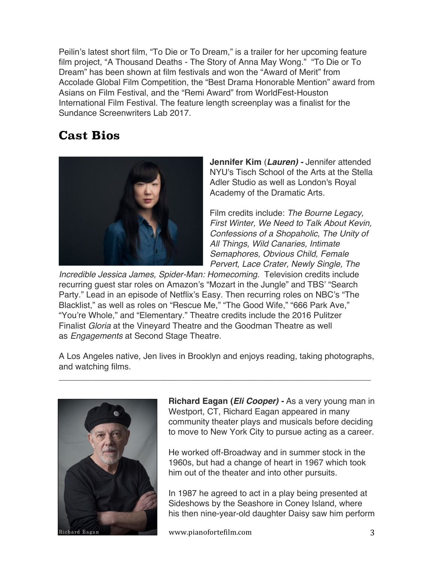Peilin's latest short film, "To Die or To Dream," is a trailer for her upcoming feature film project, "A Thousand Deaths - The Story of Anna May Wong." "To Die or To Dream" has been shown at film festivals and won the "Award of Merit" from Accolade Global Film Competition, the "Best Drama Honorable Mention" award from Asians on Film Festival, and the "Remi Award" from WorldFest-Houston International Film Festival. The feature length screenplay was a finalist for the Sundance Screenwriters Lab 2017.

### **Cast Bios**



**Jennifer Kim** (*Lauren) -* Jennifer attended NYU's Tisch School of the Arts at the Stella Adler Studio as well as London's Royal Academy of the Dramatic Arts.

Film credits include: *The Bourne Legacy, First Winter, We Need to Talk About Kevin, Confessions of a Shopaholic, The Unity of All Things, Wild Canaries, Intimate Semaphores, Obvious Child, Female Pervert, Lace Crater, Newly Single, The* 

*Incredible Jessica James, Spider-Man: Homecoming*. Television credits include recurring guest star roles on Amazon's "Mozart in the Jungle" and TBS' "Search Party." Lead in an episode of Netflix's Easy. Then recurring roles on NBC's "The Blacklist," as well as roles on "Rescue Me," "The Good Wife," "666 Park Ave," "You're Whole," and "Elementary." Theatre credits include the 2016 Pulitzer Finalist *Gloria* at the Vineyard Theatre and the Goodman Theatre as well as *Engagements* at Second Stage Theatre.

A Los Angeles native, Jen lives in Brooklyn and enjoys reading, taking photographs, and watching films.

 $\overline{a_1}$  ,  $\overline{a_2}$  ,  $\overline{a_3}$  ,  $\overline{a_4}$  ,  $\overline{a_5}$  ,  $\overline{a_6}$  ,  $\overline{a_7}$  ,  $\overline{a_8}$  ,  $\overline{a_9}$  ,  $\overline{a_9}$  ,  $\overline{a_9}$  ,  $\overline{a_9}$  ,  $\overline{a_9}$  ,  $\overline{a_9}$  ,  $\overline{a_9}$  ,  $\overline{a_9}$  ,  $\overline{a_9}$  ,



**Richard Eagan (***Eli Cooper) -* As a very young man in Westport, CT, Richard Eagan appeared in many community theater plays and musicals before deciding to move to New York City to pursue acting as a career.

He worked off-Broadway and in summer stock in the 1960s, but had a change of heart in 1967 which took him out of the theater and into other pursuits.

In 1987 he agreed to act in a play being presented at Sideshows by the Seashore in Coney Island, where his then nine-year-old daughter Daisy saw him perform

www.pianofortefilm.com 3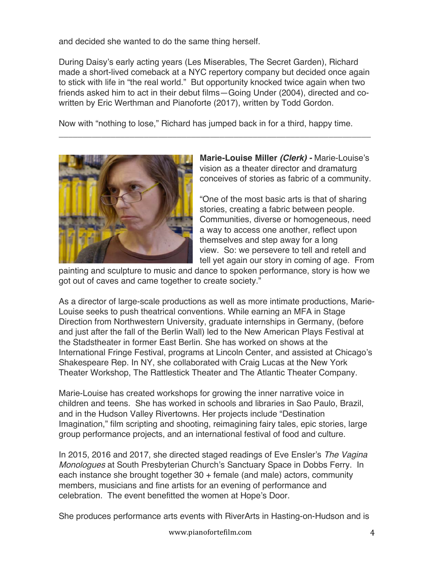and decided she wanted to do the same thing herself.

During Daisy's early acting years (Les Miserables, The Secret Garden), Richard made a short-lived comeback at a NYC repertory company but decided once again to stick with life in "the real world." But opportunity knocked twice again when two friends asked him to act in their debut films—Going Under (2004), directed and cowritten by Eric Werthman and Pianoforte (2017), written by Todd Gordon.

 $\overline{a_1}$  ,  $\overline{a_2}$  ,  $\overline{a_3}$  ,  $\overline{a_4}$  ,  $\overline{a_5}$  ,  $\overline{a_6}$  ,  $\overline{a_7}$  ,  $\overline{a_8}$  ,  $\overline{a_9}$  ,  $\overline{a_9}$  ,  $\overline{a_9}$  ,  $\overline{a_9}$  ,  $\overline{a_9}$  ,  $\overline{a_9}$  ,  $\overline{a_9}$  ,  $\overline{a_9}$  ,  $\overline{a_9}$  ,

Now with "nothing to lose," Richard has jumped back in for a third, happy time.



**Marie-Louise Miller** *(Clerk) -* Marie-Louise's vision as a theater director and dramaturg conceives of stories as fabric of a community.

"One of the most basic arts is that of sharing stories, creating a fabric between people. Communities, diverse or homogeneous, need a way to access one another, reflect upon themselves and step away for a long view. So: we persevere to tell and retell and tell yet again our story in coming of age. From

painting and sculpture to music and dance to spoken performance, story is how we got out of caves and came together to create society."

As a director of large-scale productions as well as more intimate productions, Marie-Louise seeks to push theatrical conventions. While earning an MFA in Stage Direction from Northwestern University, graduate internships in Germany, (before and just after the fall of the Berlin Wall) led to the New American Plays Festival at the Stadstheater in former East Berlin. She has worked on shows at the International Fringe Festival, programs at Lincoln Center, and assisted at Chicago's Shakespeare Rep. In NY, she collaborated with Craig Lucas at the New York Theater Workshop, The Rattlestick Theater and The Atlantic Theater Company.

Marie-Louise has created workshops for growing the inner narrative voice in children and teens. She has worked in schools and libraries in Sao Paulo, Brazil, and in the Hudson Valley Rivertowns. Her projects include "Destination Imagination," film scripting and shooting, reimagining fairy tales, epic stories, large group performance projects, and an international festival of food and culture.

In 2015, 2016 and 2017, she directed staged readings of Eve Ensler's *The Vagina Monologues* at South Presbyterian Church's Sanctuary Space in Dobbs Ferry. In each instance she brought together 30 + female (and male) actors, community members, musicians and fine artists for an evening of performance and celebration. The event benefitted the women at Hope's Door.

She produces performance arts events with RiverArts in Hasting-on-Hudson and is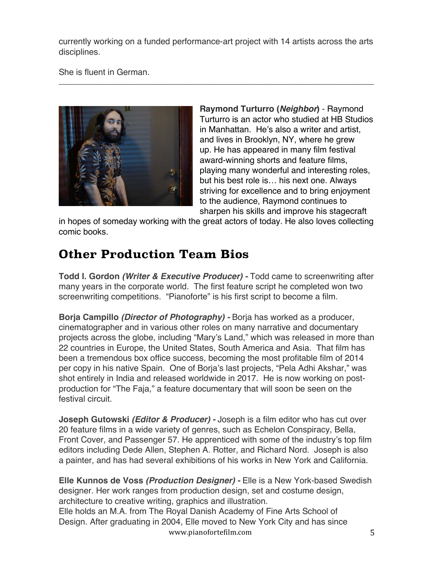currently working on a funded performance-art project with 14 artists across the arts disciplines.

She is fluent in German.



**Raymond Turturro (***Neighbor***)** - Raymond Turturro is an actor who studied at HB Studios in Manhattan. He's also a writer and artist, and lives in Brooklyn, NY, where he grew up. He has appeared in many film festival award-winning shorts and feature films, playing many wonderful and interesting roles, but his best role is… his next one. Always striving for excellence and to bring enjoyment to the audience, Raymond continues to sharpen his skills and improve his stagecraft

in hopes of someday working with the great actors of today. He also loves collecting comic books.

# **Other Production Team Bios**

**Todd I. Gordon** *(Writer & Executive Producer) -* Todd came to screenwriting after many years in the corporate world. The first feature script he completed won two screenwriting competitions. "Pianoforte" is his first script to become a film.

**Borja Campillo** *(Director of Photography) -* Borja has worked as a producer, cinematographer and in various other roles on many narrative and documentary projects across the globe, including "Mary's Land," which was released in more than 22 countries in Europe, the United States, South America and Asia. That film has been a tremendous box office success, becoming the most profitable film of 2014 per copy in his native Spain. One of Borja's last projects, "Pela Adhi Akshar," was shot entirely in India and released worldwide in 2017. He is now working on postproduction for "The Faja," a feature documentary that will soon be seen on the festival circuit.

**Joseph Gutowski** *(Editor & Producer) -* Joseph is a film editor who has cut over 20 feature films in a wide variety of genres, such as Echelon Conspiracy, Bella, Front Cover, and Passenger 57. He apprenticed with some of the industry's top film editors including Dede Allen, Stephen A. Rotter, and Richard Nord. Joseph is also a painter, and has had several exhibitions of his works in New York and California.

www.pianofortefilm.com 5 **Elle Kunnos de Voss** *(Production Designer) -* Elle is a New York-based Swedish designer. Her work ranges from production design, set and costume design, architecture to creative writing, graphics and illustration. Elle holds an M.A. from The Royal Danish Academy of Fine Arts School of Design. After graduating in 2004, Elle moved to New York City and has since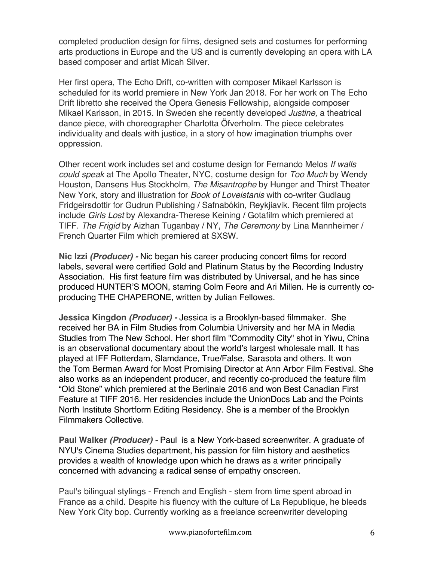completed production design for films, designed sets and costumes for performing arts productions in Europe and the US and is currently developing an opera with LA based composer and artist Micah Silver.

Her first opera, The Echo Drift, co-written with composer Mikael Karlsson is scheduled for its world premiere in New York Jan 2018. For her work on The Echo Drift libretto she received the Opera Genesis Fellowship, alongside composer Mikael Karlsson, in 2015. In Sweden she recently developed *Justine,* a theatrical dance piece, with choreographer Charlotta Öfverholm. The piece celebrates individuality and deals with justice, in a story of how imagination triumphs over oppression.

Other recent work includes set and costume design for Fernando Melos *If walls could speak* at The Apollo Theater, NYC, costume design for *Too Much* by Wendy Houston, Dansens Hus Stockholm, *The Misantrophe* by Hunger and Thirst Theater New York, story and illustration for *Book of Loveistanis* with co-writer Gudlaug Fridgeirsdottir for Gudrun Publishing / Safnabókin, Reykjiavik. Recent film projects include *Girls Lost* by Alexandra-Therese Keining / Gotafilm which premiered at TIFF. *The Frigid* by Aizhan Tuganbay / NY, *The Ceremony* by Lina Mannheimer / French Quarter Film which premiered at SXSW.

**Nic Izzi** *(Producer) -* Nic began his career producing concert films for record labels, several were certified Gold and Platinum Status by the Recording Industry Association. His first feature film was distributed by Universal, and he has since produced HUNTER'S MOON, starring Colm Feore and Ari Millen. He is currently coproducing THE CHAPERONE, written by Julian Fellowes.

**Jessica Kingdon** *(Producer) -* Jessica is a Brooklyn-based filmmaker. She received her BA in Film Studies from Columbia University and her MA in Media Studies from The New School. Her short film "Commodity City" shot in Yiwu, China is an observational documentary about the world's largest wholesale mall. It has played at IFF Rotterdam, Slamdance, True/False, Sarasota and others. It won the Tom Berman Award for Most Promising Director at Ann Arbor Film Festival. She also works as an independent producer, and recently co-produced the feature film "Old Stone" which premiered at the Berlinale 2016 and won Best Canadian First Feature at TIFF 2016. Her residencies include the UnionDocs Lab and the Points North Institute Shortform Editing Residency. She is a member of the Brooklyn Filmmakers Collective.

**Paul Walker** *(Producer) -* Paul is a New York-based screenwriter. A graduate of NYU's Cinema Studies department, his passion for film history and aesthetics provides a wealth of knowledge upon which he draws as a writer principally concerned with advancing a radical sense of empathy onscreen.

Paul's bilingual stylings - French and English - stem from time spent abroad in France as a child. Despite his fluency with the culture of La Republique, he bleeds New York City bop. Currently working as a freelance screenwriter developing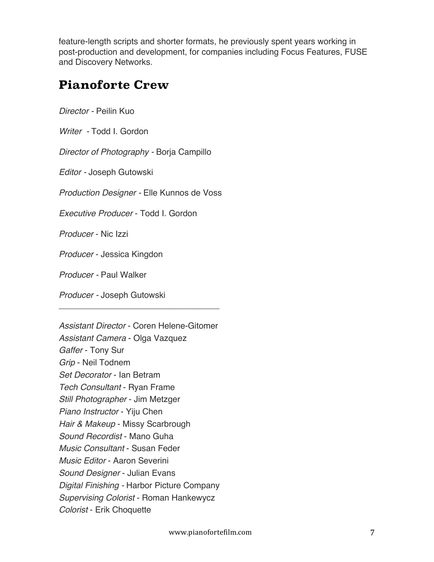feature-length scripts and shorter formats, he previously spent years working in post-production and development, for companies including Focus Features, FUSE and Discovery Networks.

### **Pianoforte Crew**

*Director -* Peilin Kuo

*Writer -* Todd I. Gordon

*Director of Photography -* Borja Campillo

*Editor -* Joseph Gutowski

*Production Designer -* Elle Kunnos de Voss

\_\_\_\_\_\_\_\_\_\_\_\_\_\_\_\_\_\_\_\_\_\_\_\_\_\_\_\_\_\_\_\_\_\_

*Executive Producer* - Todd I. Gordon

*Producer* - Nic Izzi

*Producer* - Jessica Kingdon

*Producer -* Paul Walker

*Producer -* Joseph Gutowski

*Assistant Director* - Coren Helene-Gitomer *Assistant Camera* - Olga Vazquez *Gaffer* - Tony Sur *Grip* - Neil Todnem *Set Decorator* - Ian Betram *Tech Consultant* - Ryan Frame *Still Photographer* - Jim Metzger *Piano Instructor* - Yiju Chen *Hair & Makeup* - Missy Scarbrough *Sound Recordist* - Mano Guha *Music Consultant* - Susan Feder *Music Editor* - Aaron Severini *Sound Designer* - Julian Evans *Digital Finishing -* Harbor Picture Company *Supervising Colorist* - Roman Hankewycz *Colorist* - Erik Choquette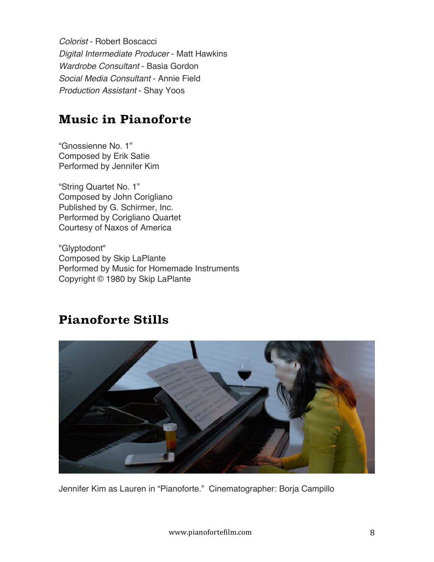*Colorist* - Robert Boscacci *Digital Intermediate Producer* - Matt Hawkins *Wardrobe Consultant* - Basia Gordon *Social Media Consultant* - Annie Field *Production Assistant* - Shay Yoos

### **Music in Pianoforte**

"Gnossienne No. 1" Composed by Erik Satie Performed by Jennifer Kim

"String Quartet No. 1" Composed by John Corigliano Published by G. Schirmer, Inc. Performed by Corigliano Quartet Courtesy of Naxos of America

"Glyptodont" Composed by Skip LaPlante Performed by Music for Homemade Instruments Copyright © 1980 by Skip LaPlante

### **Pianoforte Stills**



Jennifer Kim as Lauren in "Pianoforte." Cinematographer: Borja Campillo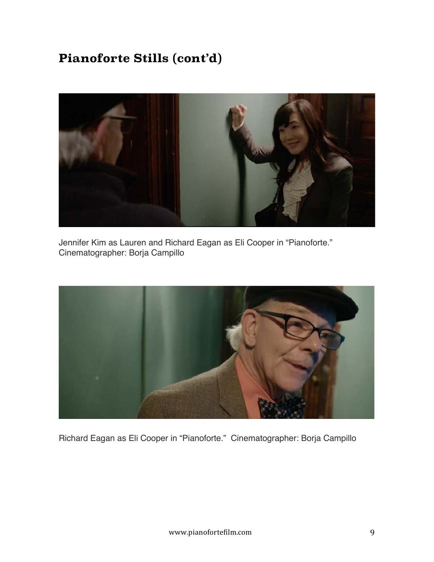# **Pianoforte Stills (cont'd)**



Jennifer Kim as Lauren and Richard Eagan as Eli Cooper in "Pianoforte." Cinematographer: Borja Campillo



Richard Eagan as Eli Cooper in "Pianoforte." Cinematographer: Borja Campillo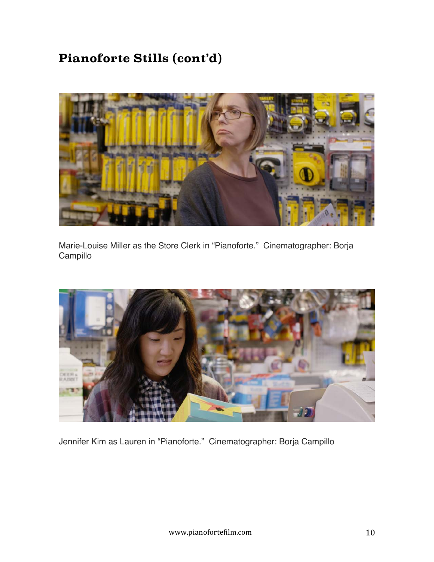# **Pianoforte Stills (cont'd)**



Marie-Louise Miller as the Store Clerk in "Pianoforte." Cinematographer: Borja Campillo



Jennifer Kim as Lauren in "Pianoforte." Cinematographer: Borja Campillo